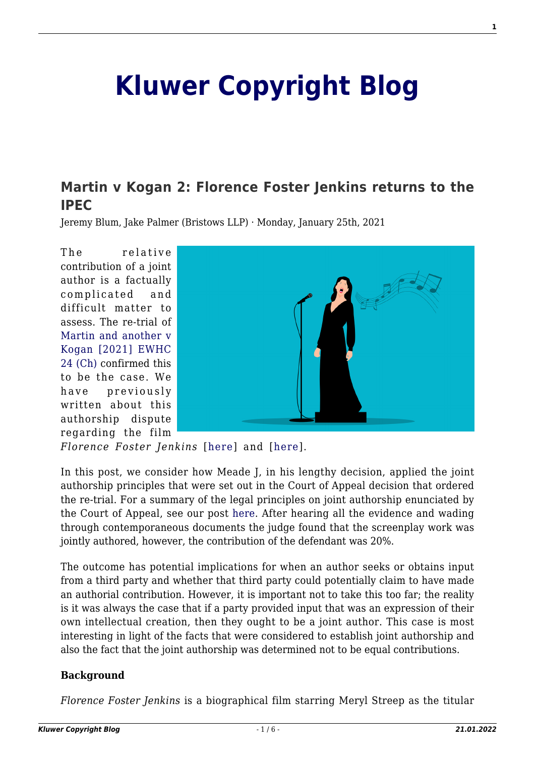# **[Kluwer Copyright Blog](http://copyrightblog.kluweriplaw.com/)**

# **[Martin v Kogan 2: Florence Foster Jenkins returns to the](http://copyrightblog.kluweriplaw.com/2021/01/25/martin-v-kogan-2-florence-foster-jenkins-returns-to-the-ipec/) [IPEC](http://copyrightblog.kluweriplaw.com/2021/01/25/martin-v-kogan-2-florence-foster-jenkins-returns-to-the-ipec/)**

Jeremy Blum, Jake Palmer (Bristows LLP) · Monday, January 25th, 2021

The relative contribution of a joint author is a factually complicated and difficult matter to assess. The re-trial of [Martin and another v](https://www.bailii.org/ew/cases/EWHC/Ch/2021/24.html) [Kogan \[2021\] EWHC](https://www.bailii.org/ew/cases/EWHC/Ch/2021/24.html) [24 \(Ch\)](https://www.bailii.org/ew/cases/EWHC/Ch/2021/24.html) confirmed this to be the case. We have previously written about this authorship dispute regarding the film



*Florence Foster Jenkins* [[here\]](http://copyrightblog.kluweriplaw.com/2017/12/11/contribution-sufficient-give-rise-joint-authorship/) and [[here\]](http://copyrightblog.kluweriplaw.com/2019/10/28/kogan-v-martin-others-uk-court-of-appeal-sends-florence-foster-jenkins-screenplay-copyright-dispute-back-to-the-ipec-for-a-re-trial/).

In this post, we consider how Meade J, in his lengthy decision, applied the joint authorship principles that were set out in the Court of Appeal decision that ordered the re-trial. For a summary of the legal principles on joint authorship enunciated by the Court of Appeal, see our post [here.](http://copyrightblog.kluweriplaw.com/2019/10/28/kogan-v-martin-others-uk-court-of-appeal-sends-florence-foster-jenkins-screenplay-copyright-dispute-back-to-the-ipec-for-a-re-trial/) After hearing all the evidence and wading through contemporaneous documents the judge found that the screenplay work was jointly authored, however, the contribution of the defendant was 20%.

The outcome has potential implications for when an author seeks or obtains input from a third party and whether that third party could potentially claim to have made an authorial contribution. However, it is important not to take this too far; the reality is it was always the case that if a party provided input that was an expression of their own intellectual creation, then they ought to be a joint author. This case is most interesting in light of the facts that were considered to establish joint authorship and also the fact that the joint authorship was determined not to be equal contributions.

#### **Background**

*Florence Foster Jenkins* is a biographical film starring Meryl Streep as the titular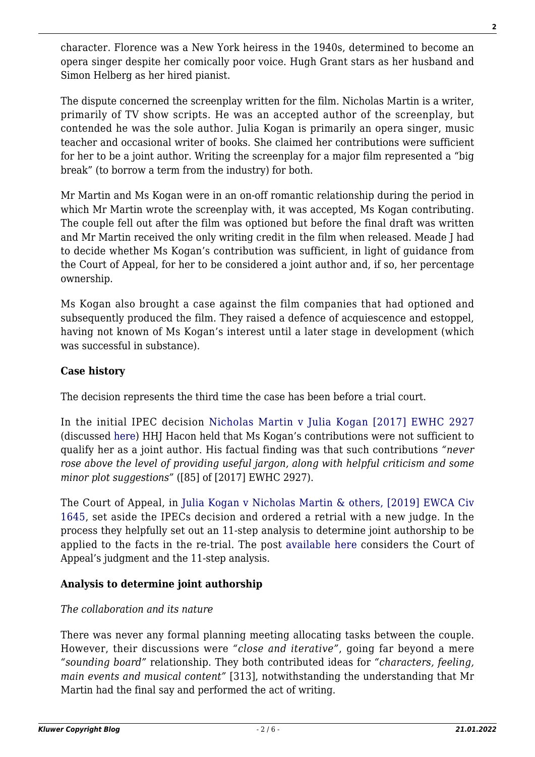character. Florence was a New York heiress in the 1940s, determined to become an opera singer despite her comically poor voice. Hugh Grant stars as her husband and Simon Helberg as her hired pianist.

The dispute concerned the screenplay written for the film. Nicholas Martin is a writer, primarily of TV show scripts. He was an accepted author of the screenplay, but contended he was the sole author. Julia Kogan is primarily an opera singer, music teacher and occasional writer of books. She claimed her contributions were sufficient for her to be a joint author. Writing the screenplay for a major film represented a "big break" (to borrow a term from the industry) for both.

Mr Martin and Ms Kogan were in an on-off romantic relationship during the period in which Mr Martin wrote the screenplay with, it was accepted, Ms Kogan contributing. The couple fell out after the film was optioned but before the final draft was written and Mr Martin received the only writing credit in the film when released. Meade J had to decide whether Ms Kogan's contribution was sufficient, in light of guidance from the Court of Appeal, for her to be considered a joint author and, if so, her percentage ownership.

Ms Kogan also brought a case against the film companies that had optioned and subsequently produced the film. They raised a defence of acquiescence and estoppel, having not known of Ms Kogan's interest until a later stage in development (which was successful in substance).

#### **Case history**

The decision represents the third time the case has been before a trial court.

In the initial IPEC decision [Nicholas Martin v Julia Kogan \[2017\] EWHC 2927](https://www.bailii.org/ew/cases/EWHC/IPEC/2017/2927.html) (discussed [here\)](http://copyrightblog.kluweriplaw.com/2017/12/11/contribution-sufficient-give-rise-joint-authorship/) HHJ Hacon held that Ms Kogan's contributions were not sufficient to qualify her as a joint author. His factual finding was that such contributions *"never rose above the level of providing useful jargon, along with helpful criticism and some minor plot suggestions"* ([85] of [2017] EWHC 2927).

The Court of Appeal, in [Julia Kogan v Nicholas Martin & others, \[2019\] EWCA Civ](https://www.bailii.org/ew/cases/EWCA/Civ/2019/1645.html) [1645](https://www.bailii.org/ew/cases/EWCA/Civ/2019/1645.html), set aside the IPECs decision and ordered a retrial with a new judge. In the process they helpfully set out an 11-step analysis to determine joint authorship to be applied to the facts in the re-trial. The post [available here](http://copyrightblog.kluweriplaw.com/2019/10/28/kogan-v-martin-others-uk-court-of-appeal-sends-florence-foster-jenkins-screenplay-copyright-dispute-back-to-the-ipec-for-a-re-trial/) considers the Court of Appeal's judgment and the 11-step analysis.

#### **Analysis to determine joint authorship**

#### *The collaboration and its nature*

There was never any formal planning meeting allocating tasks between the couple. However, their discussions were *"close and iterative"*, going far beyond a mere *"sounding board"* relationship. They both contributed ideas for *"characters, feeling, main events and musical content"* [313], notwithstanding the understanding that Mr Martin had the final say and performed the act of writing.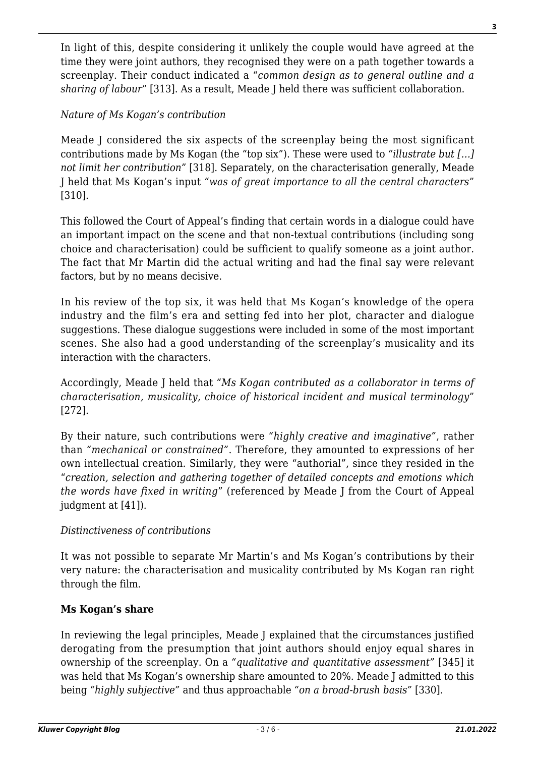In light of this, despite considering it unlikely the couple would have agreed at the time they were joint authors, they recognised they were on a path together towards a screenplay. Their conduct indicated a "*common design as to general outline and a sharing of labour*" [313]. As a result, Meade J held there was sufficient collaboration.

### *Nature of Ms Kogan's contribution*

Meade J considered the six aspects of the screenplay being the most significant contributions made by Ms Kogan (the "top six"). These were used to *"illustrate but […] not limit her contribution"* [318]. Separately, on the characterisation generally, Meade J held that Ms Kogan's input *"was of great importance to all the central characters"* [310].

This followed the Court of Appeal's finding that certain words in a dialogue could have an important impact on the scene and that non-textual contributions (including song choice and characterisation) could be sufficient to qualify someone as a joint author. The fact that Mr Martin did the actual writing and had the final say were relevant factors, but by no means decisive.

In his review of the top six, it was held that Ms Kogan's knowledge of the opera industry and the film's era and setting fed into her plot, character and dialogue suggestions. These dialogue suggestions were included in some of the most important scenes. She also had a good understanding of the screenplay's musicality and its interaction with the characters.

Accordingly, Meade J held that *"Ms Kogan contributed as a collaborator in terms of characterisation, musicality, choice of historical incident and musical terminology"* [272].

By their nature, such contributions were *"highly creative and imaginative"*, rather than *"mechanical or constrained"*. Therefore, they amounted to expressions of her own intellectual creation. Similarly, they were "authorial", since they resided in the "*creation, selection and gathering together of detailed concepts and emotions which the words have fixed in writing*" (referenced by Meade J from the Court of Appeal judgment at [41]).

#### *Distinctiveness of contributions*

It was not possible to separate Mr Martin's and Ms Kogan's contributions by their very nature: the characterisation and musicality contributed by Ms Kogan ran right through the film.

#### **Ms Kogan's share**

In reviewing the legal principles, Meade J explained that the circumstances justified derogating from the presumption that joint authors should enjoy equal shares in ownership of the screenplay. On a *"qualitative and quantitative assessment"* [345] it was held that Ms Kogan's ownership share amounted to 20%. Meade J admitted to this being *"highly subjective"* and thus approachable *"on a broad-brush basis"* [330].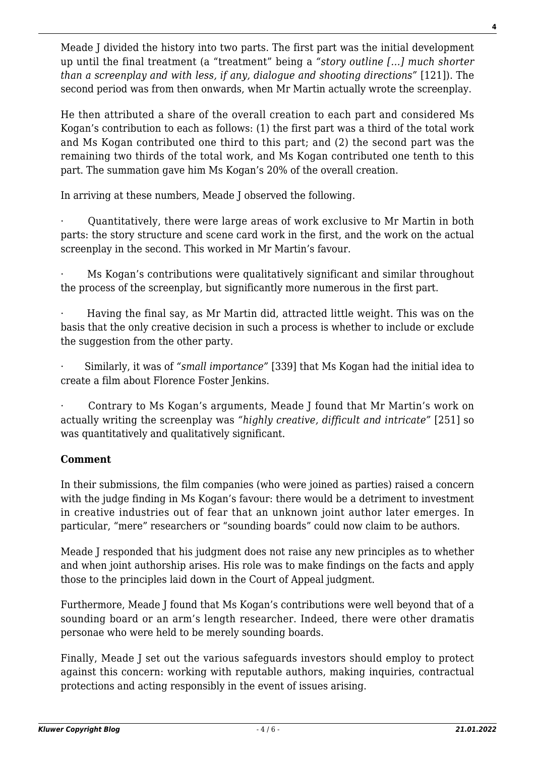Meade J divided the history into two parts. The first part was the initial development up until the final treatment (a "treatment" being a *"story outline […] much shorter than a screenplay and with less, if any, dialogue and shooting directions"* [121]). The second period was from then onwards, when Mr Martin actually wrote the screenplay.

He then attributed a share of the overall creation to each part and considered Ms Kogan's contribution to each as follows: (1) the first part was a third of the total work and Ms Kogan contributed one third to this part; and (2) the second part was the remaining two thirds of the total work, and Ms Kogan contributed one tenth to this part. The summation gave him Ms Kogan's 20% of the overall creation.

In arriving at these numbers, Meade J observed the following.

· Quantitatively, there were large areas of work exclusive to Mr Martin in both parts: the story structure and scene card work in the first, and the work on the actual screenplay in the second. This worked in Mr Martin's favour.

Ms Kogan's contributions were qualitatively significant and similar throughout the process of the screenplay, but significantly more numerous in the first part.

· Having the final say, as Mr Martin did, attracted little weight. This was on the basis that the only creative decision in such a process is whether to include or exclude the suggestion from the other party.

· Similarly, it was of *"small importance"* [339] that Ms Kogan had the initial idea to create a film about Florence Foster Jenkins.

· Contrary to Ms Kogan's arguments, Meade J found that Mr Martin's work on actually writing the screenplay was *"highly creative, difficult and intricate"* [251] so was quantitatively and qualitatively significant.

#### **Comment**

In their submissions, the film companies (who were joined as parties) raised a concern with the judge finding in Ms Kogan's favour: there would be a detriment to investment in creative industries out of fear that an unknown joint author later emerges. In particular, "mere" researchers or "sounding boards" could now claim to be authors.

Meade J responded that his judgment does not raise any new principles as to whether and when joint authorship arises. His role was to make findings on the facts and apply those to the principles laid down in the Court of Appeal judgment.

Furthermore, Meade J found that Ms Kogan's contributions were well beyond that of a sounding board or an arm's length researcher. Indeed, there were other dramatis personae who were held to be merely sounding boards.

Finally, Meade J set out the various safeguards investors should employ to protect against this concern: working with reputable authors, making inquiries, contractual protections and acting responsibly in the event of issues arising.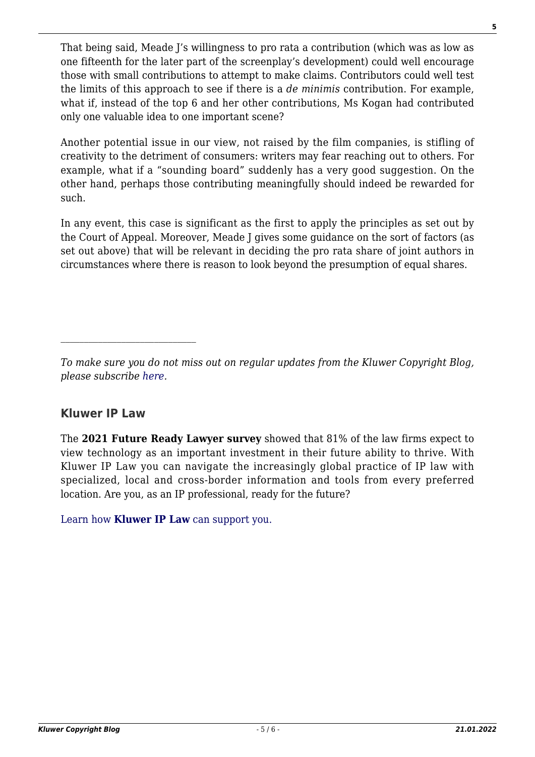That being said, Meade J's willingness to pro rata a contribution (which was as low as one fifteenth for the later part of the screenplay's development) could well encourage those with small contributions to attempt to make claims. Contributors could well test the limits of this approach to see if there is a *de minimis* contribution. For example, what if, instead of the top 6 and her other contributions, Ms Kogan had contributed only one valuable idea to one important scene?

Another potential issue in our view, not raised by the film companies, is stifling of creativity to the detriment of consumers: writers may fear reaching out to others. For example, what if a "sounding board" suddenly has a very good suggestion. On the other hand, perhaps those contributing meaningfully should indeed be rewarded for such.

In any event, this case is significant as the first to apply the principles as set out by the Court of Appeal. Moreover, Meade J gives some guidance on the sort of factors (as set out above) that will be relevant in deciding the pro rata share of joint authors in circumstances where there is reason to look beyond the presumption of equal shares.

*To make sure you do not miss out on regular updates from the Kluwer Copyright Blog, please subscribe [here.](http://copyrightblog.kluweriplaw.com/newsletter)*

## **Kluwer IP Law**

The **2021 Future Ready Lawyer survey** showed that 81% of the law firms expect to view technology as an important investment in their future ability to thrive. With Kluwer IP Law you can navigate the increasingly global practice of IP law with specialized, local and cross-border information and tools from every preferred location. Are you, as an IP professional, ready for the future?

[Learn how](https://www.wolterskluwer.com/en/solutions/kluweriplaw?utm_source=copyrightnblog&utm_medium=articleCTA&utm_campaign=article-banner) **[Kluwer IP Law](https://www.wolterskluwer.com/en/solutions/kluweriplaw?utm_source=copyrightnblog&utm_medium=articleCTA&utm_campaign=article-banner)** [can support you.](https://www.wolterskluwer.com/en/solutions/kluweriplaw?utm_source=copyrightnblog&utm_medium=articleCTA&utm_campaign=article-banner)